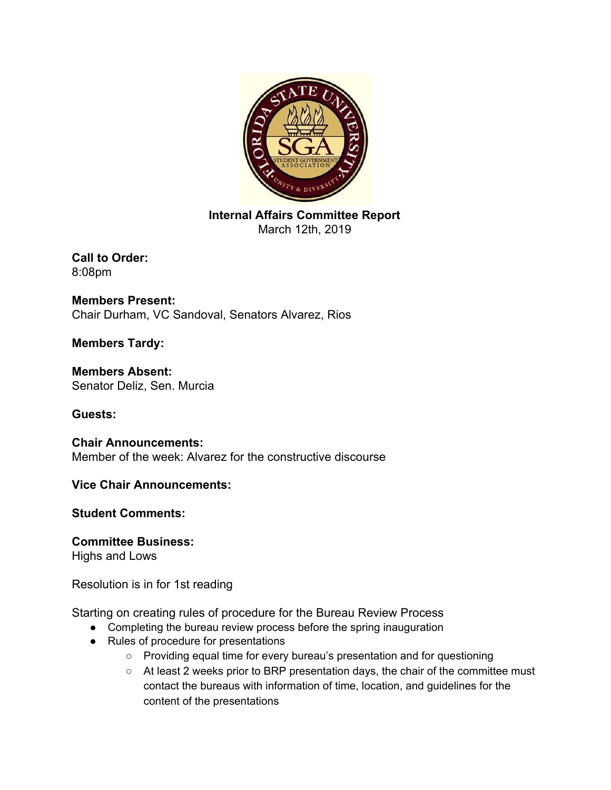

**Internal Affairs Committee Report** March 12th, 2019

**Call to Order:** 8:08pm

**Members Present:** Chair Durham, VC Sandoval, Senators Alvarez, Rios

**Members Tardy:**

**Members Absent:** Senator Deliz, Sen. Murcia

**Guests:**

**Chair Announcements:** Member of the week: Alvarez for the constructive discourse

**Vice Chair Announcements:**

**Student Comments:**

**Committee Business:**

Highs and Lows

Resolution is in for 1st reading

Starting on creating rules of procedure for the Bureau Review Process

- Completing the bureau review process before the spring inauguration
- Rules of procedure for presentations
	- Providing equal time for every bureau's presentation and for questioning
	- At least 2 weeks prior to BRP presentation days, the chair of the committee must contact the bureaus with information of time, location, and guidelines for the content of the presentations